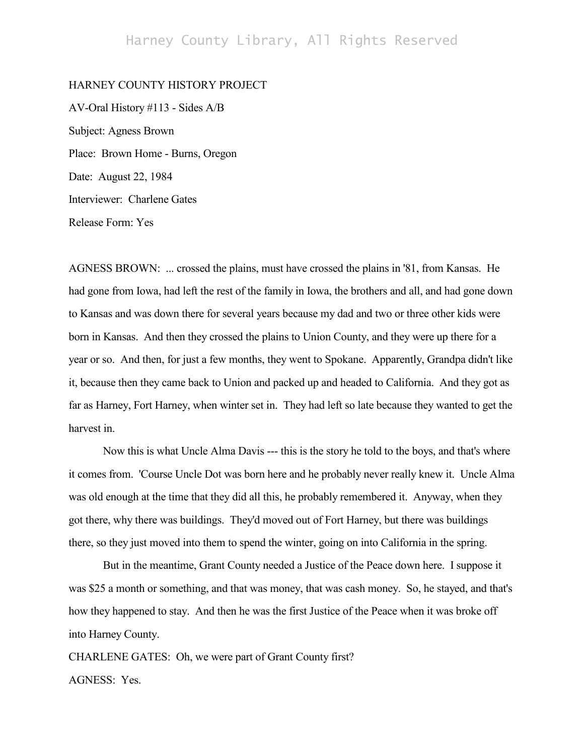# Harney County Library, All Rights Reserved

## HARNEY COUNTY HISTORY PROJECT

AV-Oral History #113 - Sides A/B Subject: Agness Brown Place: Brown Home - Burns, Oregon Date: August 22, 1984 Interviewer: Charlene Gates Release Form: Yes

AGNESS BROWN: ... crossed the plains, must have crossed the plains in '81, from Kansas. He had gone from Iowa, had left the rest of the family in Iowa, the brothers and all, and had gone down to Kansas and was down there for several years because my dad and two or three other kids were born in Kansas. And then they crossed the plains to Union County, and they were up there for a year or so. And then, for just a few months, they went to Spokane. Apparently, Grandpa didn't like it, because then they came back to Union and packed up and headed to California. And they got as far as Harney, Fort Harney, when winter set in. They had left so late because they wanted to get the harvest in.

Now this is what Uncle Alma Davis --- this is the story he told to the boys, and that's where it comes from. 'Course Uncle Dot was born here and he probably never really knew it. Uncle Alma was old enough at the time that they did all this, he probably remembered it. Anyway, when they got there, why there was buildings. They'd moved out of Fort Harney, but there was buildings there, so they just moved into them to spend the winter, going on into California in the spring.

But in the meantime, Grant County needed a Justice of the Peace down here. I suppose it was \$25 a month or something, and that was money, that was cash money. So, he stayed, and that's how they happened to stay. And then he was the first Justice of the Peace when it was broke off into Harney County.

CHARLENE GATES: Oh, we were part of Grant County first? AGNESS: Yes.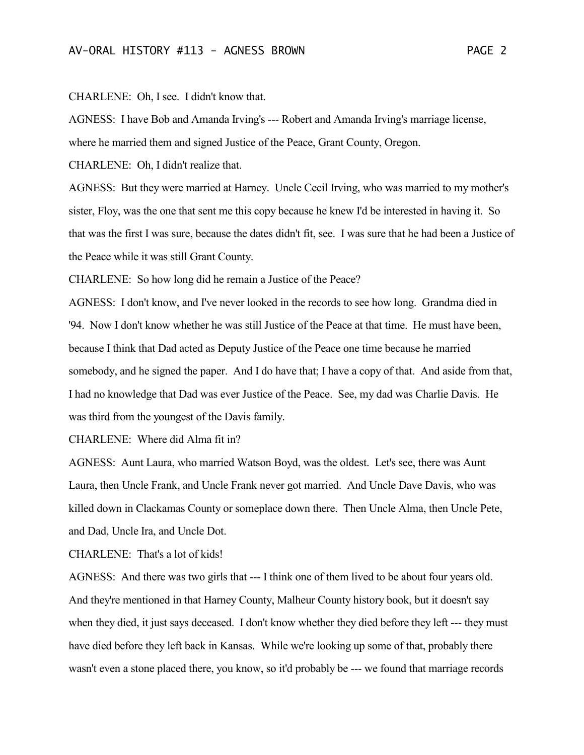## CHARLENE: Oh, I see. I didn't know that.

AGNESS: I have Bob and Amanda Irving's --- Robert and Amanda Irving's marriage license,

where he married them and signed Justice of the Peace, Grant County, Oregon.

CHARLENE: Oh, I didn't realize that.

AGNESS: But they were married at Harney. Uncle Cecil Irving, who was married to my mother's sister, Floy, was the one that sent me this copy because he knew I'd be interested in having it. So that was the first I was sure, because the dates didn't fit, see. I was sure that he had been a Justice of the Peace while it was still Grant County.

CHARLENE: So how long did he remain a Justice of the Peace?

AGNESS: I don't know, and I've never looked in the records to see how long. Grandma died in '94. Now I don't know whether he was still Justice of the Peace at that time. He must have been, because I think that Dad acted as Deputy Justice of the Peace one time because he married somebody, and he signed the paper. And I do have that; I have a copy of that. And aside from that, I had no knowledge that Dad was ever Justice of the Peace. See, my dad was Charlie Davis. He was third from the youngest of the Davis family.

CHARLENE: Where did Alma fit in?

AGNESS: Aunt Laura, who married Watson Boyd, was the oldest. Let's see, there was Aunt Laura, then Uncle Frank, and Uncle Frank never got married. And Uncle Dave Davis, who was killed down in Clackamas County or someplace down there. Then Uncle Alma, then Uncle Pete, and Dad, Uncle Ira, and Uncle Dot.

CHARLENE: That's a lot of kids!

AGNESS: And there was two girls that --- I think one of them lived to be about four years old. And they're mentioned in that Harney County, Malheur County history book, but it doesn't say when they died, it just says deceased. I don't know whether they died before they left --- they must have died before they left back in Kansas. While we're looking up some of that, probably there wasn't even a stone placed there, you know, so it'd probably be --- we found that marriage records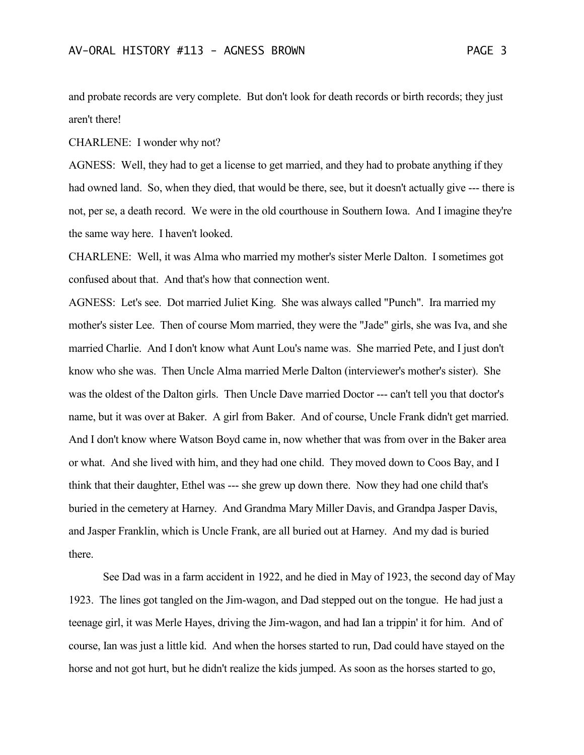and probate records are very complete. But don't look for death records or birth records; they just aren't there!

CHARLENE: I wonder why not?

AGNESS: Well, they had to get a license to get married, and they had to probate anything if they had owned land. So, when they died, that would be there, see, but it doesn't actually give --- there is not, per se, a death record. We were in the old courthouse in Southern Iowa. And I imagine they're the same way here. I haven't looked.

CHARLENE: Well, it was Alma who married my mother's sister Merle Dalton. I sometimes got confused about that. And that's how that connection went.

AGNESS: Let's see. Dot married Juliet King. She was always called "Punch". Ira married my mother's sister Lee. Then of course Mom married, they were the "Jade" girls, she was Iva, and she married Charlie. And I don't know what Aunt Lou's name was. She married Pete, and I just don't know who she was. Then Uncle Alma married Merle Dalton (interviewer's mother's sister). She was the oldest of the Dalton girls. Then Uncle Dave married Doctor --- can't tell you that doctor's name, but it was over at Baker. A girl from Baker. And of course, Uncle Frank didn't get married. And I don't know where Watson Boyd came in, now whether that was from over in the Baker area or what. And she lived with him, and they had one child. They moved down to Coos Bay, and I think that their daughter, Ethel was --- she grew up down there. Now they had one child that's buried in the cemetery at Harney. And Grandma Mary Miller Davis, and Grandpa Jasper Davis, and Jasper Franklin, which is Uncle Frank, are all buried out at Harney. And my dad is buried there.

See Dad was in a farm accident in 1922, and he died in May of 1923, the second day of May 1923. The lines got tangled on the Jim-wagon, and Dad stepped out on the tongue. He had just a teenage girl, it was Merle Hayes, driving the Jim-wagon, and had Ian a trippin' it for him. And of course, Ian was just a little kid. And when the horses started to run, Dad could have stayed on the horse and not got hurt, but he didn't realize the kids jumped. As soon as the horses started to go,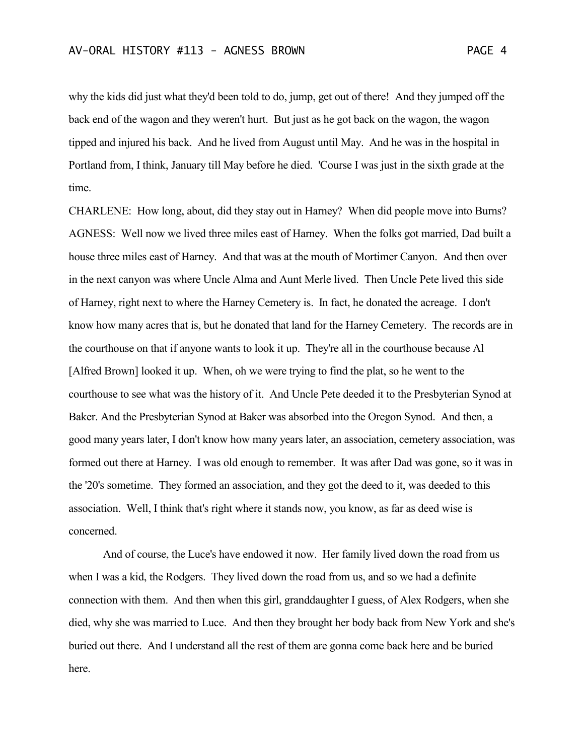why the kids did just what they'd been told to do, jump, get out of there! And they jumped off the back end of the wagon and they weren't hurt. But just as he got back on the wagon, the wagon tipped and injured his back. And he lived from August until May. And he was in the hospital in Portland from, I think, January till May before he died. 'Course I was just in the sixth grade at the time.

CHARLENE: How long, about, did they stay out in Harney? When did people move into Burns? AGNESS: Well now we lived three miles east of Harney. When the folks got married, Dad built a house three miles east of Harney. And that was at the mouth of Mortimer Canyon. And then over in the next canyon was where Uncle Alma and Aunt Merle lived. Then Uncle Pete lived this side of Harney, right next to where the Harney Cemetery is. In fact, he donated the acreage. I don't know how many acres that is, but he donated that land for the Harney Cemetery. The records are in the courthouse on that if anyone wants to look it up. They're all in the courthouse because Al [Alfred Brown] looked it up. When, oh we were trying to find the plat, so he went to the courthouse to see what was the history of it. And Uncle Pete deeded it to the Presbyterian Synod at Baker. And the Presbyterian Synod at Baker was absorbed into the Oregon Synod. And then, a good many years later, I don't know how many years later, an association, cemetery association, was formed out there at Harney. I was old enough to remember. It was after Dad was gone, so it was in the '20's sometime. They formed an association, and they got the deed to it, was deeded to this association. Well, I think that's right where it stands now, you know, as far as deed wise is concerned.

And of course, the Luce's have endowed it now. Her family lived down the road from us when I was a kid, the Rodgers. They lived down the road from us, and so we had a definite connection with them. And then when this girl, granddaughter I guess, of Alex Rodgers, when she died, why she was married to Luce. And then they brought her body back from New York and she's buried out there. And I understand all the rest of them are gonna come back here and be buried here.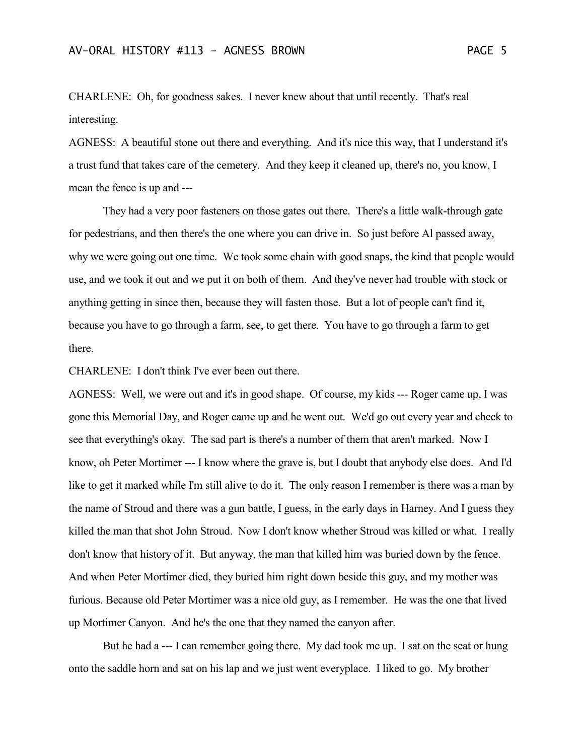CHARLENE: Oh, for goodness sakes. I never knew about that until recently. That's real interesting.

AGNESS: A beautiful stone out there and everything. And it's nice this way, that I understand it's a trust fund that takes care of the cemetery. And they keep it cleaned up, there's no, you know, I mean the fence is up and ---

They had a very poor fasteners on those gates out there. There's a little walk-through gate for pedestrians, and then there's the one where you can drive in. So just before Al passed away, why we were going out one time. We took some chain with good snaps, the kind that people would use, and we took it out and we put it on both of them. And they've never had trouble with stock or anything getting in since then, because they will fasten those. But a lot of people can't find it, because you have to go through a farm, see, to get there. You have to go through a farm to get there.

CHARLENE: I don't think I've ever been out there.

AGNESS: Well, we were out and it's in good shape. Of course, my kids --- Roger came up, I was gone this Memorial Day, and Roger came up and he went out. We'd go out every year and check to see that everything's okay. The sad part is there's a number of them that aren't marked. Now I know, oh Peter Mortimer --- I know where the grave is, but I doubt that anybody else does. And I'd like to get it marked while I'm still alive to do it. The only reason I remember is there was a man by the name of Stroud and there was a gun battle, I guess, in the early days in Harney. And I guess they killed the man that shot John Stroud. Now I don't know whether Stroud was killed or what. I really don't know that history of it. But anyway, the man that killed him was buried down by the fence. And when Peter Mortimer died, they buried him right down beside this guy, and my mother was furious. Because old Peter Mortimer was a nice old guy, as I remember. He was the one that lived up Mortimer Canyon. And he's the one that they named the canyon after.

But he had a --- I can remember going there. My dad took me up. I sat on the seat or hung onto the saddle horn and sat on his lap and we just went everyplace. I liked to go. My brother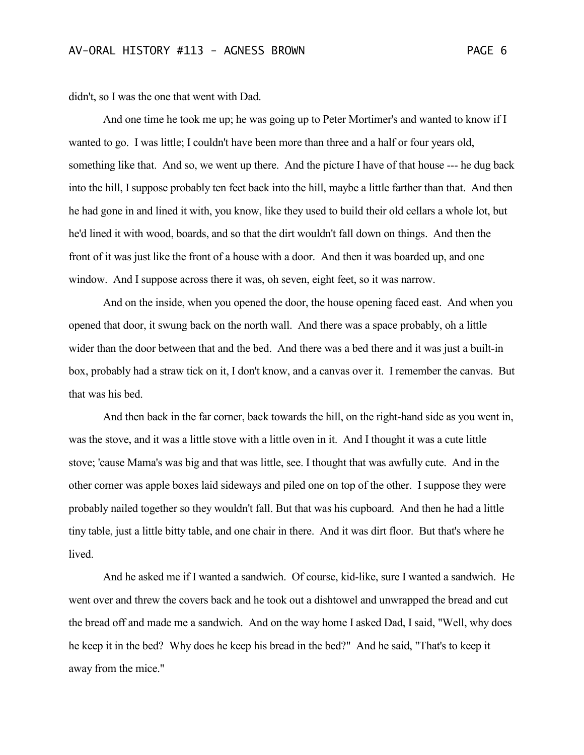didn't, so I was the one that went with Dad.

And one time he took me up; he was going up to Peter Mortimer's and wanted to know if I wanted to go. I was little; I couldn't have been more than three and a half or four years old, something like that. And so, we went up there. And the picture I have of that house --- he dug back into the hill, I suppose probably ten feet back into the hill, maybe a little farther than that. And then he had gone in and lined it with, you know, like they used to build their old cellars a whole lot, but he'd lined it with wood, boards, and so that the dirt wouldn't fall down on things. And then the front of it was just like the front of a house with a door. And then it was boarded up, and one window. And I suppose across there it was, oh seven, eight feet, so it was narrow.

And on the inside, when you opened the door, the house opening faced east. And when you opened that door, it swung back on the north wall. And there was a space probably, oh a little wider than the door between that and the bed. And there was a bed there and it was just a built-in box, probably had a straw tick on it, I don't know, and a canvas over it. I remember the canvas. But that was his bed.

And then back in the far corner, back towards the hill, on the right-hand side as you went in, was the stove, and it was a little stove with a little oven in it. And I thought it was a cute little stove; 'cause Mama's was big and that was little, see. I thought that was awfully cute. And in the other corner was apple boxes laid sideways and piled one on top of the other. I suppose they were probably nailed together so they wouldn't fall. But that was his cupboard. And then he had a little tiny table, just a little bitty table, and one chair in there. And it was dirt floor. But that's where he lived.

And he asked me if I wanted a sandwich. Of course, kid-like, sure I wanted a sandwich. He went over and threw the covers back and he took out a dishtowel and unwrapped the bread and cut the bread off and made me a sandwich. And on the way home I asked Dad, I said, "Well, why does he keep it in the bed? Why does he keep his bread in the bed?" And he said, "That's to keep it away from the mice."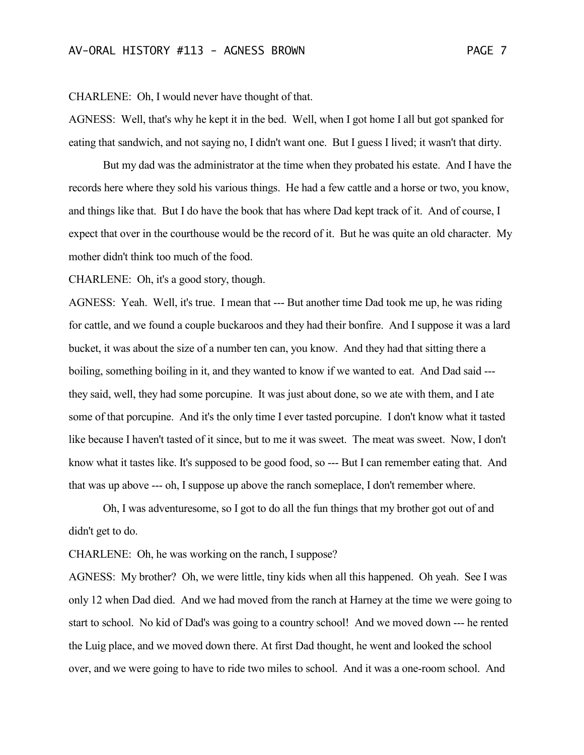CHARLENE: Oh, I would never have thought of that.

AGNESS: Well, that's why he kept it in the bed. Well, when I got home I all but got spanked for eating that sandwich, and not saying no, I didn't want one. But I guess I lived; it wasn't that dirty.

But my dad was the administrator at the time when they probated his estate. And I have the records here where they sold his various things. He had a few cattle and a horse or two, you know, and things like that. But I do have the book that has where Dad kept track of it. And of course, I expect that over in the courthouse would be the record of it. But he was quite an old character. My mother didn't think too much of the food.

CHARLENE: Oh, it's a good story, though.

AGNESS: Yeah. Well, it's true. I mean that --- But another time Dad took me up, he was riding for cattle, and we found a couple buckaroos and they had their bonfire. And I suppose it was a lard bucket, it was about the size of a number ten can, you know. And they had that sitting there a boiling, something boiling in it, and they wanted to know if we wanted to eat. And Dad said -- they said, well, they had some porcupine. It was just about done, so we ate with them, and I ate some of that porcupine. And it's the only time I ever tasted porcupine. I don't know what it tasted like because I haven't tasted of it since, but to me it was sweet. The meat was sweet. Now, I don't know what it tastes like. It's supposed to be good food, so --- But I can remember eating that. And that was up above --- oh, I suppose up above the ranch someplace, I don't remember where.

Oh, I was adventuresome, so I got to do all the fun things that my brother got out of and didn't get to do.

CHARLENE: Oh, he was working on the ranch, I suppose?

AGNESS: My brother? Oh, we were little, tiny kids when all this happened. Oh yeah. See I was only 12 when Dad died. And we had moved from the ranch at Harney at the time we were going to start to school. No kid of Dad's was going to a country school! And we moved down --- he rented the Luig place, and we moved down there. At first Dad thought, he went and looked the school over, and we were going to have to ride two miles to school. And it was a one-room school. And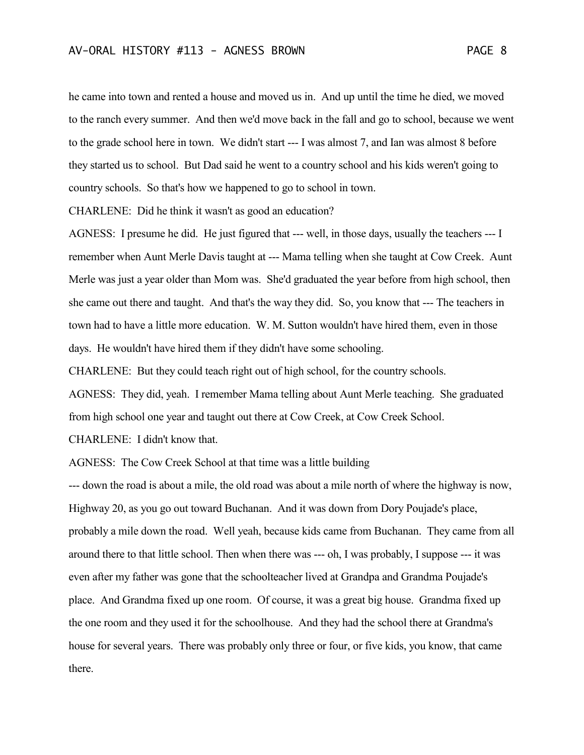he came into town and rented a house and moved us in. And up until the time he died, we moved to the ranch every summer. And then we'd move back in the fall and go to school, because we went to the grade school here in town. We didn't start --- I was almost 7, and Ian was almost 8 before they started us to school. But Dad said he went to a country school and his kids weren't going to country schools. So that's how we happened to go to school in town.

CHARLENE: Did he think it wasn't as good an education?

AGNESS: I presume he did. He just figured that --- well, in those days, usually the teachers --- I remember when Aunt Merle Davis taught at --- Mama telling when she taught at Cow Creek. Aunt Merle was just a year older than Mom was. She'd graduated the year before from high school, then she came out there and taught. And that's the way they did. So, you know that --- The teachers in town had to have a little more education. W. M. Sutton wouldn't have hired them, even in those days. He wouldn't have hired them if they didn't have some schooling.

CHARLENE: But they could teach right out of high school, for the country schools.

AGNESS: They did, yeah. I remember Mama telling about Aunt Merle teaching. She graduated from high school one year and taught out there at Cow Creek, at Cow Creek School.

CHARLENE: I didn't know that.

AGNESS: The Cow Creek School at that time was a little building

--- down the road is about a mile, the old road was about a mile north of where the highway is now, Highway 20, as you go out toward Buchanan. And it was down from Dory Poujade's place, probably a mile down the road. Well yeah, because kids came from Buchanan. They came from all around there to that little school. Then when there was --- oh, I was probably, I suppose --- it was even after my father was gone that the schoolteacher lived at Grandpa and Grandma Poujade's place. And Grandma fixed up one room. Of course, it was a great big house. Grandma fixed up the one room and they used it for the schoolhouse. And they had the school there at Grandma's house for several years. There was probably only three or four, or five kids, you know, that came there.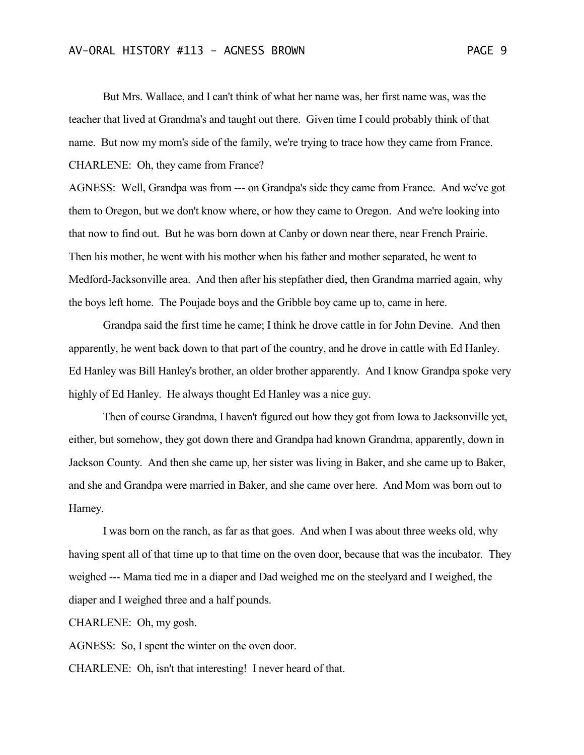But Mrs. Wallace, and I can't think of what her name was, her first name was, was the teacher that lived at Grandma's and taught out there. Given time I could probably think of that name. But now my mom's side of the family, we're trying to trace how they came from France. CHARLENE: Oh, they came from France?

AGNESS: Well, Grandpa was from --- on Grandpa's side they came from France. And we've got them to Oregon, but we don't know where, or how they came to Oregon. And we're looking into that now to find out. But he was born down at Canby or down near there, near French Prairie. Then his mother, he went with his mother when his father and mother separated, he went to Medford-Jacksonville area. And then after his stepfather died, then Grandma married again, why the boys left home. The Poujade boys and the Gribble boy came up to, came in here.

Grandpa said the first time he came; I think he drove cattle in for John Devine. And then apparently, he went back down to that part of the country, and he drove in cattle with Ed Hanley. Ed Hanley was Bill Hanley's brother, an older brother apparently. And I know Grandpa spoke very highly of Ed Hanley. He always thought Ed Hanley was a nice guy.

Then of course Grandma, I haven't figured out how they got from Iowa to Jacksonville yet, either, but somehow, they got down there and Grandpa had known Grandma, apparently, down in Jackson County. And then she came up, her sister was living in Baker, and she came up to Baker, and she and Grandpa were married in Baker, and she came over here. And Mom was born out to Harney.

I was born on the ranch, as far as that goes. And when I was about three weeks old, why having spent all of that time up to that time on the oven door, because that was the incubator. They weighed --- Mama tied me in a diaper and Dad weighed me on the steelyard and I weighed, the diaper and I weighed three and a half pounds.

CHARLENE: Oh, my gosh.

AGNESS: So, I spent the winter on the oven door.

CHARLENE: Oh, isn't that interesting! I never heard of that.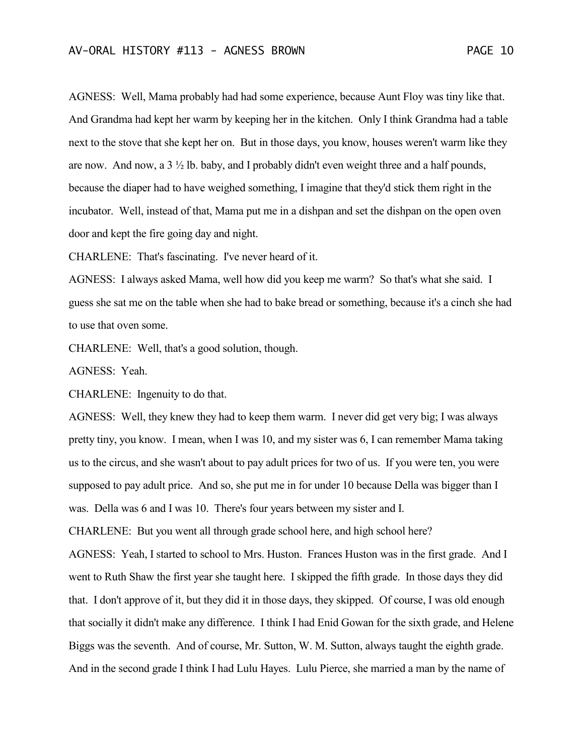AGNESS: Well, Mama probably had had some experience, because Aunt Floy was tiny like that. And Grandma had kept her warm by keeping her in the kitchen. Only I think Grandma had a table next to the stove that she kept her on. But in those days, you know, houses weren't warm like they are now. And now, a  $3\frac{1}{2}$  lb. baby, and I probably didn't even weight three and a half pounds, because the diaper had to have weighed something, I imagine that they'd stick them right in the incubator. Well, instead of that, Mama put me in a dishpan and set the dishpan on the open oven door and kept the fire going day and night.

CHARLENE: That's fascinating. I've never heard of it.

AGNESS: I always asked Mama, well how did you keep me warm? So that's what she said. I guess she sat me on the table when she had to bake bread or something, because it's a cinch she had to use that oven some.

CHARLENE: Well, that's a good solution, though.

AGNESS: Yeah.

CHARLENE: Ingenuity to do that.

AGNESS: Well, they knew they had to keep them warm. I never did get very big; I was always pretty tiny, you know. I mean, when I was 10, and my sister was 6, I can remember Mama taking us to the circus, and she wasn't about to pay adult prices for two of us. If you were ten, you were supposed to pay adult price. And so, she put me in for under 10 because Della was bigger than I was. Della was 6 and I was 10. There's four years between my sister and I.

CHARLENE: But you went all through grade school here, and high school here?

AGNESS: Yeah, I started to school to Mrs. Huston. Frances Huston was in the first grade. And I went to Ruth Shaw the first year she taught here. I skipped the fifth grade. In those days they did that. I don't approve of it, but they did it in those days, they skipped. Of course, I was old enough that socially it didn't make any difference. I think I had Enid Gowan for the sixth grade, and Helene Biggs was the seventh. And of course, Mr. Sutton, W. M. Sutton, always taught the eighth grade. And in the second grade I think I had Lulu Hayes. Lulu Pierce, she married a man by the name of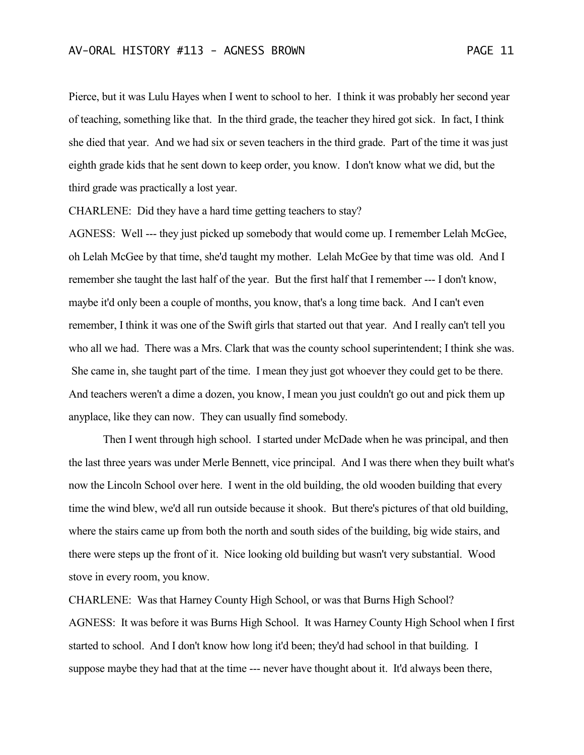Pierce, but it was Lulu Hayes when I went to school to her. I think it was probably her second year of teaching, something like that. In the third grade, the teacher they hired got sick. In fact, I think she died that year. And we had six or seven teachers in the third grade. Part of the time it was just eighth grade kids that he sent down to keep order, you know. I don't know what we did, but the third grade was practically a lost year.

CHARLENE: Did they have a hard time getting teachers to stay?

AGNESS: Well --- they just picked up somebody that would come up. I remember Lelah McGee, oh Lelah McGee by that time, she'd taught my mother. Lelah McGee by that time was old. And I remember she taught the last half of the year. But the first half that I remember --- I don't know, maybe it'd only been a couple of months, you know, that's a long time back. And I can't even remember, I think it was one of the Swift girls that started out that year. And I really can't tell you who all we had. There was a Mrs. Clark that was the county school superintendent; I think she was. She came in, she taught part of the time. I mean they just got whoever they could get to be there. And teachers weren't a dime a dozen, you know, I mean you just couldn't go out and pick them up anyplace, like they can now. They can usually find somebody.

Then I went through high school. I started under McDade when he was principal, and then the last three years was under Merle Bennett, vice principal. And I was there when they built what's now the Lincoln School over here. I went in the old building, the old wooden building that every time the wind blew, we'd all run outside because it shook. But there's pictures of that old building, where the stairs came up from both the north and south sides of the building, big wide stairs, and there were steps up the front of it. Nice looking old building but wasn't very substantial. Wood stove in every room, you know.

CHARLENE: Was that Harney County High School, or was that Burns High School? AGNESS: It was before it was Burns High School. It was Harney County High School when I first started to school. And I don't know how long it'd been; they'd had school in that building. I suppose maybe they had that at the time --- never have thought about it. It'd always been there,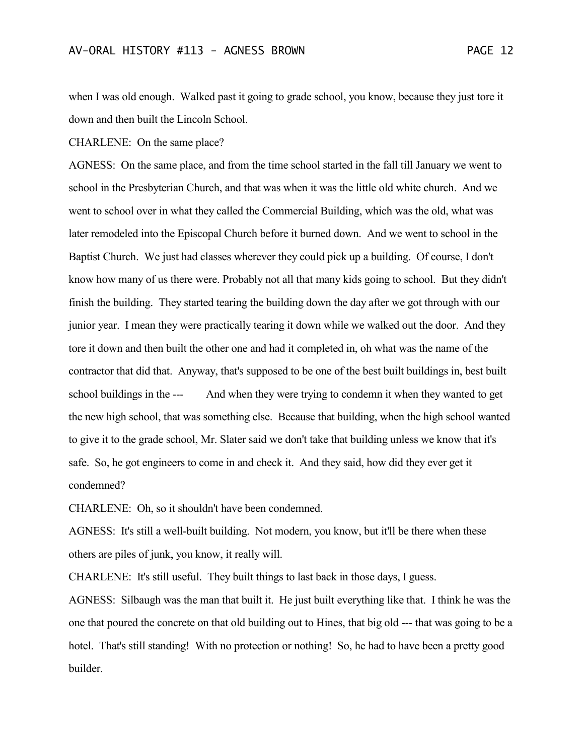when I was old enough. Walked past it going to grade school, you know, because they just tore it down and then built the Lincoln School.

CHARLENE: On the same place?

AGNESS: On the same place, and from the time school started in the fall till January we went to school in the Presbyterian Church, and that was when it was the little old white church. And we went to school over in what they called the Commercial Building, which was the old, what was later remodeled into the Episcopal Church before it burned down. And we went to school in the Baptist Church. We just had classes wherever they could pick up a building. Of course, I don't know how many of us there were. Probably not all that many kids going to school. But they didn't finish the building. They started tearing the building down the day after we got through with our junior year. I mean they were practically tearing it down while we walked out the door. And they tore it down and then built the other one and had it completed in, oh what was the name of the contractor that did that. Anyway, that's supposed to be one of the best built buildings in, best built school buildings in the --- And when they were trying to condemn it when they wanted to get the new high school, that was something else. Because that building, when the high school wanted to give it to the grade school, Mr. Slater said we don't take that building unless we know that it's safe. So, he got engineers to come in and check it. And they said, how did they ever get it condemned?

CHARLENE: Oh, so it shouldn't have been condemned.

AGNESS: It's still a well-built building. Not modern, you know, but it'll be there when these others are piles of junk, you know, it really will.

CHARLENE: It's still useful. They built things to last back in those days, I guess.

AGNESS: Silbaugh was the man that built it. He just built everything like that. I think he was the one that poured the concrete on that old building out to Hines, that big old --- that was going to be a hotel. That's still standing! With no protection or nothing! So, he had to have been a pretty good builder.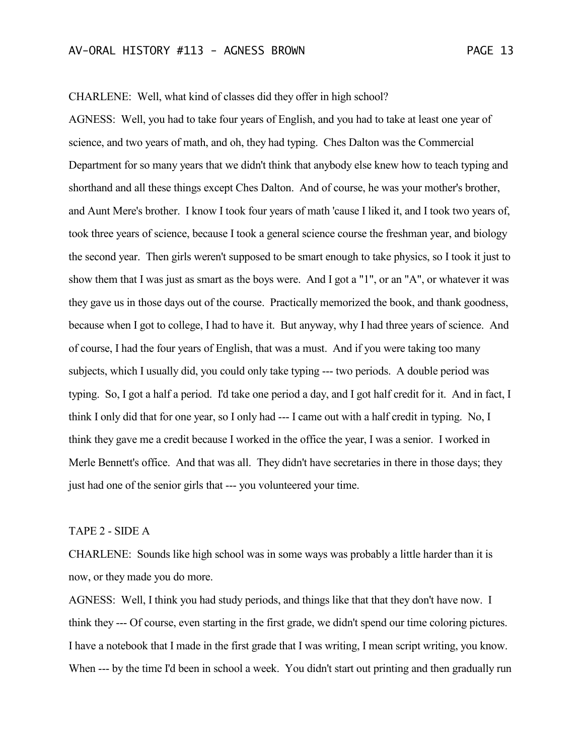CHARLENE: Well, what kind of classes did they offer in high school?

AGNESS: Well, you had to take four years of English, and you had to take at least one year of science, and two years of math, and oh, they had typing. Ches Dalton was the Commercial Department for so many years that we didn't think that anybody else knew how to teach typing and shorthand and all these things except Ches Dalton. And of course, he was your mother's brother, and Aunt Mere's brother. I know I took four years of math 'cause I liked it, and I took two years of, took three years of science, because I took a general science course the freshman year, and biology the second year. Then girls weren't supposed to be smart enough to take physics, so I took it just to show them that I was just as smart as the boys were. And I got a "1", or an "A", or whatever it was they gave us in those days out of the course. Practically memorized the book, and thank goodness, because when I got to college, I had to have it. But anyway, why I had three years of science. And of course, I had the four years of English, that was a must. And if you were taking too many subjects, which I usually did, you could only take typing --- two periods. A double period was typing. So, I got a half a period. I'd take one period a day, and I got half credit for it. And in fact, I think I only did that for one year, so I only had --- I came out with a half credit in typing. No, I think they gave me a credit because I worked in the office the year, I was a senior. I worked in Merle Bennett's office. And that was all. They didn't have secretaries in there in those days; they just had one of the senior girls that --- you volunteered your time.

## TAPE 2 - SIDE A

CHARLENE: Sounds like high school was in some ways was probably a little harder than it is now, or they made you do more.

AGNESS: Well, I think you had study periods, and things like that that they don't have now. I think they --- Of course, even starting in the first grade, we didn't spend our time coloring pictures. I have a notebook that I made in the first grade that I was writing, I mean script writing, you know. When --- by the time I'd been in school a week. You didn't start out printing and then gradually run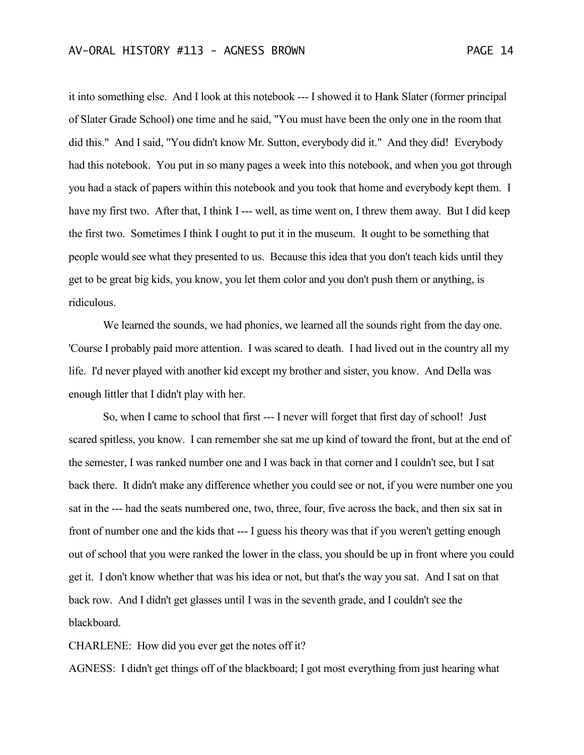it into something else. And I look at this notebook --- I showed it to Hank Slater (former principal of Slater Grade School) one time and he said, "You must have been the only one in the room that did this." And I said, "You didn't know Mr. Sutton, everybody did it." And they did! Everybody had this notebook. You put in so many pages a week into this notebook, and when you got through you had a stack of papers within this notebook and you took that home and everybody kept them. I have my first two. After that, I think I --- well, as time went on, I threw them away. But I did keep the first two. Sometimes I think I ought to put it in the museum. It ought to be something that people would see what they presented to us. Because this idea that you don't teach kids until they get to be great big kids, you know, you let them color and you don't push them or anything, is ridiculous.

We learned the sounds, we had phonics, we learned all the sounds right from the day one. 'Course I probably paid more attention. I was scared to death. I had lived out in the country all my life. I'd never played with another kid except my brother and sister, you know. And Della was enough littler that I didn't play with her.

So, when I came to school that first --- I never will forget that first day of school! Just scared spitless, you know. I can remember she sat me up kind of toward the front, but at the end of the semester, I was ranked number one and I was back in that corner and I couldn't see, but I sat back there. It didn't make any difference whether you could see or not, if you were number one you sat in the --- had the seats numbered one, two, three, four, five across the back, and then six sat in front of number one and the kids that --- I guess his theory was that if you weren't getting enough out of school that you were ranked the lower in the class, you should be up in front where you could get it. I don't know whether that was his idea or not, but that's the way you sat. And I sat on that back row. And I didn't get glasses until I was in the seventh grade, and I couldn't see the blackboard.

CHARLENE: How did you ever get the notes off it?

AGNESS: I didn't get things off of the blackboard; I got most everything from just hearing what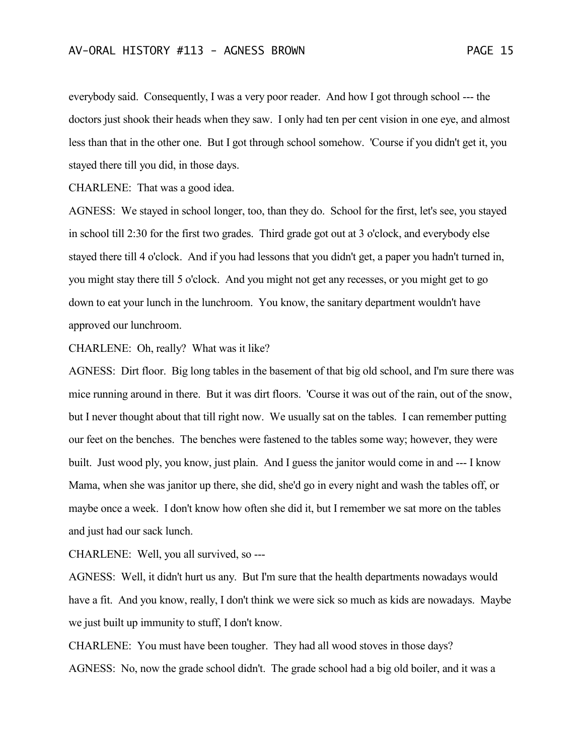everybody said. Consequently, I was a very poor reader. And how I got through school --- the doctors just shook their heads when they saw. I only had ten per cent vision in one eye, and almost less than that in the other one. But I got through school somehow. 'Course if you didn't get it, you stayed there till you did, in those days.

CHARLENE: That was a good idea.

AGNESS: We stayed in school longer, too, than they do. School for the first, let's see, you stayed in school till 2:30 for the first two grades. Third grade got out at 3 o'clock, and everybody else stayed there till 4 o'clock. And if you had lessons that you didn't get, a paper you hadn't turned in, you might stay there till 5 o'clock. And you might not get any recesses, or you might get to go down to eat your lunch in the lunchroom. You know, the sanitary department wouldn't have approved our lunchroom.

CHARLENE: Oh, really? What was it like?

AGNESS: Dirt floor. Big long tables in the basement of that big old school, and I'm sure there was mice running around in there. But it was dirt floors. 'Course it was out of the rain, out of the snow, but I never thought about that till right now. We usually sat on the tables. I can remember putting our feet on the benches. The benches were fastened to the tables some way; however, they were built. Just wood ply, you know, just plain. And I guess the janitor would come in and --- I know Mama, when she was janitor up there, she did, she'd go in every night and wash the tables off, or maybe once a week. I don't know how often she did it, but I remember we sat more on the tables and just had our sack lunch.

CHARLENE: Well, you all survived, so ---

AGNESS: Well, it didn't hurt us any. But I'm sure that the health departments nowadays would have a fit. And you know, really, I don't think we were sick so much as kids are nowadays. Maybe we just built up immunity to stuff, I don't know.

CHARLENE: You must have been tougher. They had all wood stoves in those days? AGNESS: No, now the grade school didn't. The grade school had a big old boiler, and it was a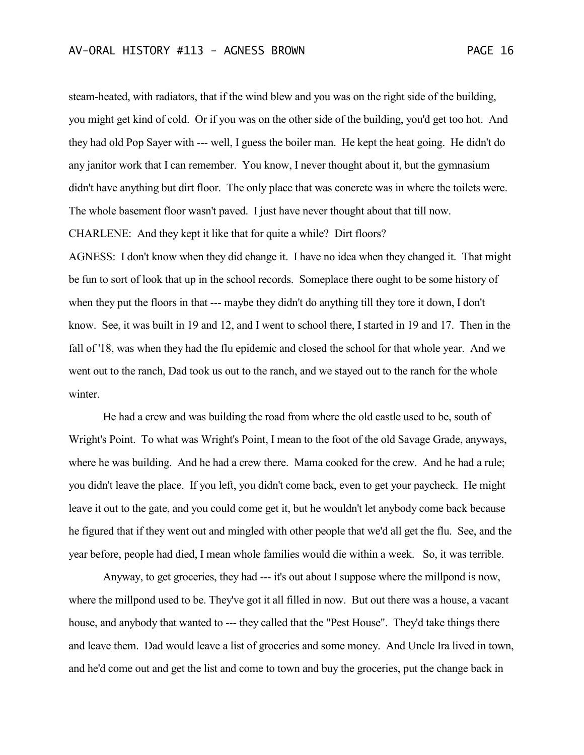steam-heated, with radiators, that if the wind blew and you was on the right side of the building, you might get kind of cold. Or if you was on the other side of the building, you'd get too hot. And they had old Pop Sayer with --- well, I guess the boiler man. He kept the heat going. He didn't do any janitor work that I can remember. You know, I never thought about it, but the gymnasium didn't have anything but dirt floor. The only place that was concrete was in where the toilets were. The whole basement floor wasn't paved. I just have never thought about that till now.

CHARLENE: And they kept it like that for quite a while? Dirt floors?

AGNESS: I don't know when they did change it. I have no idea when they changed it. That might be fun to sort of look that up in the school records. Someplace there ought to be some history of when they put the floors in that --- maybe they didn't do anything till they tore it down, I don't know. See, it was built in 19 and 12, and I went to school there, I started in 19 and 17. Then in the fall of '18, was when they had the flu epidemic and closed the school for that whole year. And we went out to the ranch, Dad took us out to the ranch, and we stayed out to the ranch for the whole winter.

He had a crew and was building the road from where the old castle used to be, south of Wright's Point. To what was Wright's Point, I mean to the foot of the old Savage Grade, anyways, where he was building. And he had a crew there. Mama cooked for the crew. And he had a rule; you didn't leave the place. If you left, you didn't come back, even to get your paycheck. He might leave it out to the gate, and you could come get it, but he wouldn't let anybody come back because he figured that if they went out and mingled with other people that we'd all get the flu. See, and the year before, people had died, I mean whole families would die within a week. So, it was terrible.

Anyway, to get groceries, they had --- it's out about I suppose where the millpond is now, where the millpond used to be. They've got it all filled in now. But out there was a house, a vacant house, and anybody that wanted to --- they called that the "Pest House". They'd take things there and leave them. Dad would leave a list of groceries and some money. And Uncle Ira lived in town, and he'd come out and get the list and come to town and buy the groceries, put the change back in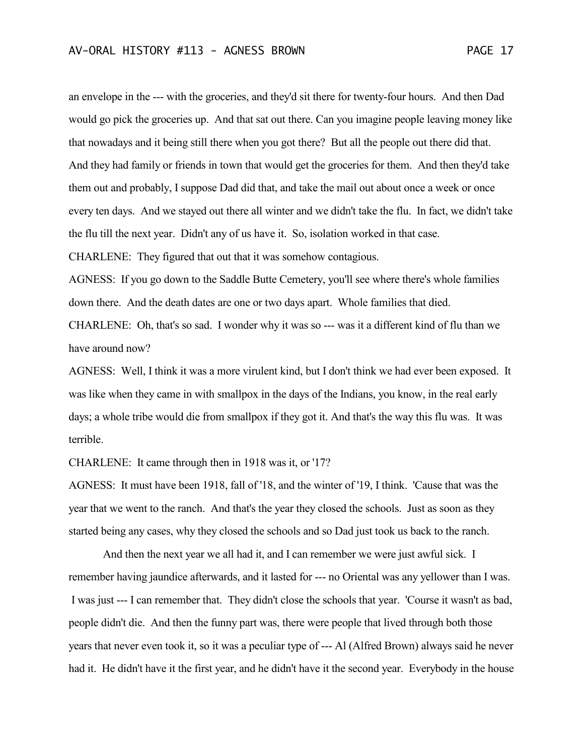an envelope in the --- with the groceries, and they'd sit there for twenty-four hours. And then Dad would go pick the groceries up. And that sat out there. Can you imagine people leaving money like that nowadays and it being still there when you got there? But all the people out there did that. And they had family or friends in town that would get the groceries for them. And then they'd take them out and probably, I suppose Dad did that, and take the mail out about once a week or once every ten days. And we stayed out there all winter and we didn't take the flu. In fact, we didn't take the flu till the next year. Didn't any of us have it. So, isolation worked in that case.

CHARLENE: They figured that out that it was somehow contagious.

AGNESS: If you go down to the Saddle Butte Cemetery, you'll see where there's whole families down there. And the death dates are one or two days apart. Whole families that died. CHARLENE: Oh, that's so sad. I wonder why it was so --- was it a different kind of flu than we have around now?

AGNESS: Well, I think it was a more virulent kind, but I don't think we had ever been exposed. It was like when they came in with smallpox in the days of the Indians, you know, in the real early days; a whole tribe would die from smallpox if they got it. And that's the way this flu was. It was terrible.

CHARLENE: It came through then in 1918 was it, or '17?

AGNESS: It must have been 1918, fall of '18, and the winter of '19, I think. 'Cause that was the year that we went to the ranch. And that's the year they closed the schools. Just as soon as they started being any cases, why they closed the schools and so Dad just took us back to the ranch.

And then the next year we all had it, and I can remember we were just awful sick. I remember having jaundice afterwards, and it lasted for --- no Oriental was any yellower than I was. I was just --- I can remember that. They didn't close the schools that year. 'Course it wasn't as bad, people didn't die. And then the funny part was, there were people that lived through both those years that never even took it, so it was a peculiar type of --- Al (Alfred Brown) always said he never had it. He didn't have it the first year, and he didn't have it the second year. Everybody in the house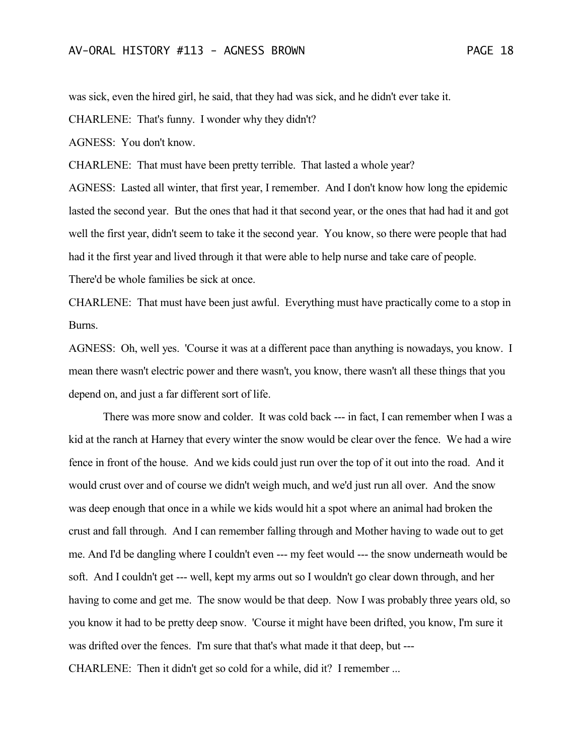was sick, even the hired girl, he said, that they had was sick, and he didn't ever take it.

CHARLENE: That's funny. I wonder why they didn't?

AGNESS: You don't know.

CHARLENE: That must have been pretty terrible. That lasted a whole year?

AGNESS: Lasted all winter, that first year, I remember. And I don't know how long the epidemic lasted the second year. But the ones that had it that second year, or the ones that had had it and got well the first year, didn't seem to take it the second year. You know, so there were people that had had it the first year and lived through it that were able to help nurse and take care of people. There'd be whole families be sick at once.

CHARLENE: That must have been just awful. Everything must have practically come to a stop in Burns.

AGNESS: Oh, well yes. 'Course it was at a different pace than anything is nowadays, you know. I mean there wasn't electric power and there wasn't, you know, there wasn't all these things that you depend on, and just a far different sort of life.

There was more snow and colder. It was cold back --- in fact, I can remember when I was a kid at the ranch at Harney that every winter the snow would be clear over the fence. We had a wire fence in front of the house. And we kids could just run over the top of it out into the road. And it would crust over and of course we didn't weigh much, and we'd just run all over. And the snow was deep enough that once in a while we kids would hit a spot where an animal had broken the crust and fall through. And I can remember falling through and Mother having to wade out to get me. And I'd be dangling where I couldn't even --- my feet would --- the snow underneath would be soft. And I couldn't get --- well, kept my arms out so I wouldn't go clear down through, and her having to come and get me. The snow would be that deep. Now I was probably three years old, so you know it had to be pretty deep snow. 'Course it might have been drifted, you know, I'm sure it was drifted over the fences. I'm sure that that's what made it that deep, but --- CHARLENE: Then it didn't get so cold for a while, did it? I remember ...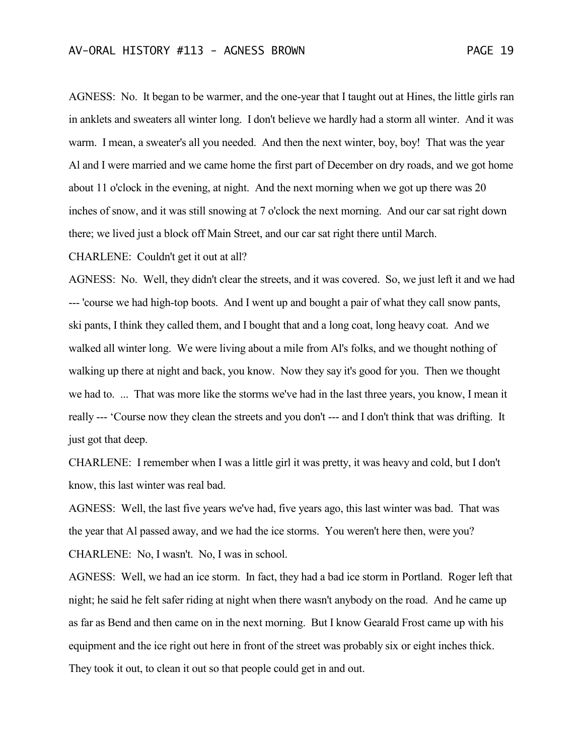AGNESS: No. It began to be warmer, and the one-year that I taught out at Hines, the little girls ran in anklets and sweaters all winter long. I don't believe we hardly had a storm all winter. And it was warm. I mean, a sweater's all you needed. And then the next winter, boy, boy! That was the year Al and I were married and we came home the first part of December on dry roads, and we got home about 11 o'clock in the evening, at night. And the next morning when we got up there was 20 inches of snow, and it was still snowing at 7 o'clock the next morning. And our car sat right down there; we lived just a block off Main Street, and our car sat right there until March.

CHARLENE: Couldn't get it out at all?

AGNESS: No. Well, they didn't clear the streets, and it was covered. So, we just left it and we had --- 'course we had high-top boots. And I went up and bought a pair of what they call snow pants, ski pants, I think they called them, and I bought that and a long coat, long heavy coat. And we walked all winter long. We were living about a mile from Al's folks, and we thought nothing of walking up there at night and back, you know. Now they say it's good for you. Then we thought we had to. ... That was more like the storms we've had in the last three years, you know, I mean it really --- 'Course now they clean the streets and you don't --- and I don't think that was drifting. It just got that deep.

CHARLENE: I remember when I was a little girl it was pretty, it was heavy and cold, but I don't know, this last winter was real bad.

AGNESS: Well, the last five years we've had, five years ago, this last winter was bad. That was the year that Al passed away, and we had the ice storms. You weren't here then, were you? CHARLENE: No, I wasn't. No, I was in school.

AGNESS: Well, we had an ice storm. In fact, they had a bad ice storm in Portland. Roger left that night; he said he felt safer riding at night when there wasn't anybody on the road. And he came up as far as Bend and then came on in the next morning. But I know Gearald Frost came up with his equipment and the ice right out here in front of the street was probably six or eight inches thick. They took it out, to clean it out so that people could get in and out.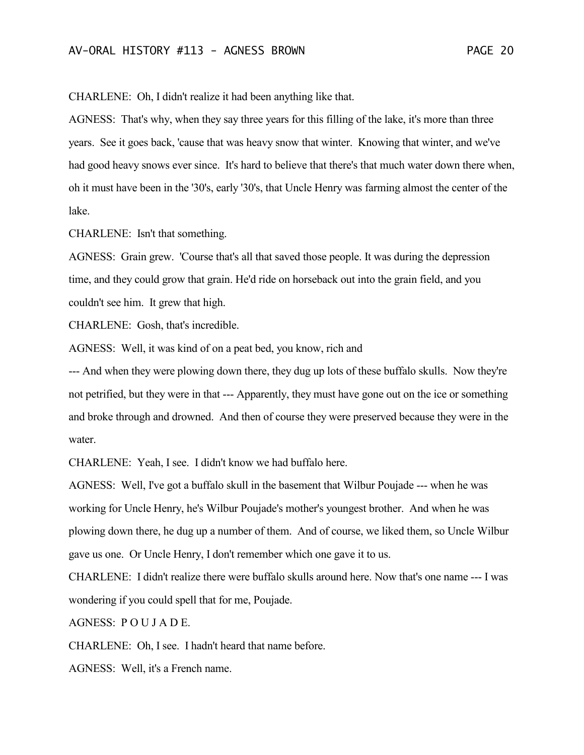CHARLENE: Oh, I didn't realize it had been anything like that.

AGNESS: That's why, when they say three years for this filling of the lake, it's more than three years. See it goes back, 'cause that was heavy snow that winter. Knowing that winter, and we've had good heavy snows ever since. It's hard to believe that there's that much water down there when, oh it must have been in the '30's, early '30's, that Uncle Henry was farming almost the center of the lake.

CHARLENE: Isn't that something.

AGNESS: Grain grew. 'Course that's all that saved those people. It was during the depression time, and they could grow that grain. He'd ride on horseback out into the grain field, and you couldn't see him. It grew that high.

CHARLENE: Gosh, that's incredible.

AGNESS: Well, it was kind of on a peat bed, you know, rich and

--- And when they were plowing down there, they dug up lots of these buffalo skulls. Now they're not petrified, but they were in that --- Apparently, they must have gone out on the ice or something and broke through and drowned. And then of course they were preserved because they were in the water.

CHARLENE: Yeah, I see. I didn't know we had buffalo here.

AGNESS: Well, I've got a buffalo skull in the basement that Wilbur Poujade --- when he was working for Uncle Henry, he's Wilbur Poujade's mother's youngest brother. And when he was plowing down there, he dug up a number of them. And of course, we liked them, so Uncle Wilbur gave us one. Or Uncle Henry, I don't remember which one gave it to us.

CHARLENE: I didn't realize there were buffalo skulls around here. Now that's one name --- I was wondering if you could spell that for me, Poujade.

AGNESS: P O U J A D E.

CHARLENE: Oh, I see. I hadn't heard that name before.

AGNESS: Well, it's a French name.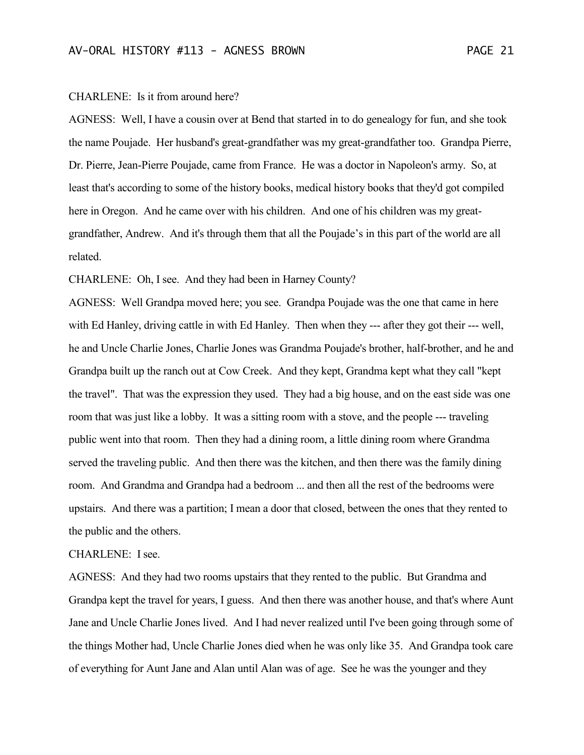#### CHARLENE: Is it from around here?

AGNESS: Well, I have a cousin over at Bend that started in to do genealogy for fun, and she took the name Poujade. Her husband's great-grandfather was my great-grandfather too. Grandpa Pierre, Dr. Pierre, Jean-Pierre Poujade, came from France. He was a doctor in Napoleon's army. So, at least that's according to some of the history books, medical history books that they'd got compiled here in Oregon. And he came over with his children. And one of his children was my greatgrandfather, Andrew. And it's through them that all the Poujade's in this part of the world are all related.

CHARLENE: Oh, I see. And they had been in Harney County?

AGNESS: Well Grandpa moved here; you see. Grandpa Poujade was the one that came in here with Ed Hanley, driving cattle in with Ed Hanley. Then when they --- after they got their --- well, he and Uncle Charlie Jones, Charlie Jones was Grandma Poujade's brother, half-brother, and he and Grandpa built up the ranch out at Cow Creek. And they kept, Grandma kept what they call "kept the travel". That was the expression they used. They had a big house, and on the east side was one room that was just like a lobby. It was a sitting room with a stove, and the people --- traveling public went into that room. Then they had a dining room, a little dining room where Grandma served the traveling public. And then there was the kitchen, and then there was the family dining room. And Grandma and Grandpa had a bedroom ... and then all the rest of the bedrooms were upstairs. And there was a partition; I mean a door that closed, between the ones that they rented to the public and the others.

#### CHARLENE: I see.

AGNESS: And they had two rooms upstairs that they rented to the public. But Grandma and Grandpa kept the travel for years, I guess. And then there was another house, and that's where Aunt Jane and Uncle Charlie Jones lived. And I had never realized until I've been going through some of the things Mother had, Uncle Charlie Jones died when he was only like 35. And Grandpa took care of everything for Aunt Jane and Alan until Alan was of age. See he was the younger and they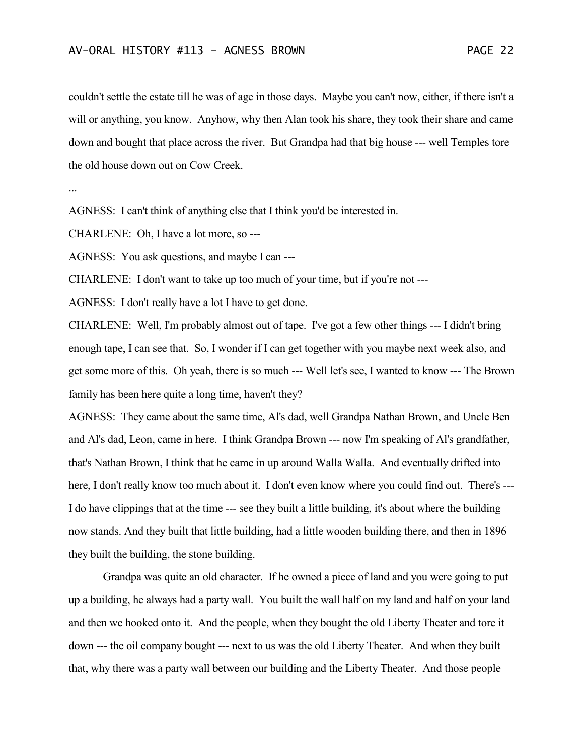### AV-ORAL HISTORY #113 - AGNESS BROWN PAGE 22

couldn't settle the estate till he was of age in those days. Maybe you can't now, either, if there isn't a will or anything, you know. Anyhow, why then Alan took his share, they took their share and came down and bought that place across the river. But Grandpa had that big house --- well Temples tore the old house down out on Cow Creek.

...

AGNESS: I can't think of anything else that I think you'd be interested in.

CHARLENE: Oh, I have a lot more, so ---

AGNESS: You ask questions, and maybe I can ---

CHARLENE: I don't want to take up too much of your time, but if you're not ---

AGNESS: I don't really have a lot I have to get done.

CHARLENE: Well, I'm probably almost out of tape. I've got a few other things --- I didn't bring enough tape, I can see that. So, I wonder if I can get together with you maybe next week also, and get some more of this. Oh yeah, there is so much --- Well let's see, I wanted to know --- The Brown family has been here quite a long time, haven't they?

AGNESS: They came about the same time, Al's dad, well Grandpa Nathan Brown, and Uncle Ben and Al's dad, Leon, came in here. I think Grandpa Brown --- now I'm speaking of Al's grandfather, that's Nathan Brown, I think that he came in up around Walla Walla. And eventually drifted into here, I don't really know too much about it. I don't even know where you could find out. There's ---I do have clippings that at the time --- see they built a little building, it's about where the building now stands. And they built that little building, had a little wooden building there, and then in 1896 they built the building, the stone building.

Grandpa was quite an old character. If he owned a piece of land and you were going to put up a building, he always had a party wall. You built the wall half on my land and half on your land and then we hooked onto it. And the people, when they bought the old Liberty Theater and tore it down --- the oil company bought --- next to us was the old Liberty Theater. And when they built that, why there was a party wall between our building and the Liberty Theater. And those people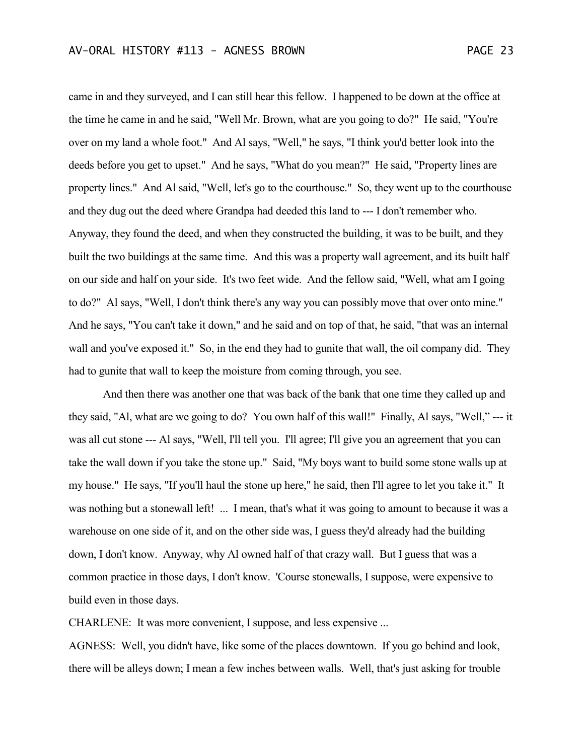came in and they surveyed, and I can still hear this fellow. I happened to be down at the office at the time he came in and he said, "Well Mr. Brown, what are you going to do?" He said, "You're over on my land a whole foot." And Al says, "Well," he says, "I think you'd better look into the deeds before you get to upset." And he says, "What do you mean?" He said, "Property lines are property lines." And Al said, "Well, let's go to the courthouse." So, they went up to the courthouse and they dug out the deed where Grandpa had deeded this land to --- I don't remember who. Anyway, they found the deed, and when they constructed the building, it was to be built, and they built the two buildings at the same time. And this was a property wall agreement, and its built half on our side and half on your side. It's two feet wide. And the fellow said, "Well, what am I going to do?" Al says, "Well, I don't think there's any way you can possibly move that over onto mine." And he says, "You can't take it down," and he said and on top of that, he said, "that was an internal wall and you've exposed it." So, in the end they had to gunite that wall, the oil company did. They had to gunite that wall to keep the moisture from coming through, you see.

And then there was another one that was back of the bank that one time they called up and they said, "Al, what are we going to do? You own half of this wall!" Finally, Al says, "Well," --- it was all cut stone --- Al says, "Well, I'll tell you. I'll agree; I'll give you an agreement that you can take the wall down if you take the stone up." Said, "My boys want to build some stone walls up at my house." He says, "If you'll haul the stone up here," he said, then I'll agree to let you take it." It was nothing but a stonewall left! ... I mean, that's what it was going to amount to because it was a warehouse on one side of it, and on the other side was, I guess they'd already had the building down, I don't know. Anyway, why Al owned half of that crazy wall. But I guess that was a common practice in those days, I don't know. 'Course stonewalls, I suppose, were expensive to build even in those days.

CHARLENE: It was more convenient, I suppose, and less expensive ...

AGNESS: Well, you didn't have, like some of the places downtown. If you go behind and look, there will be alleys down; I mean a few inches between walls. Well, that's just asking for trouble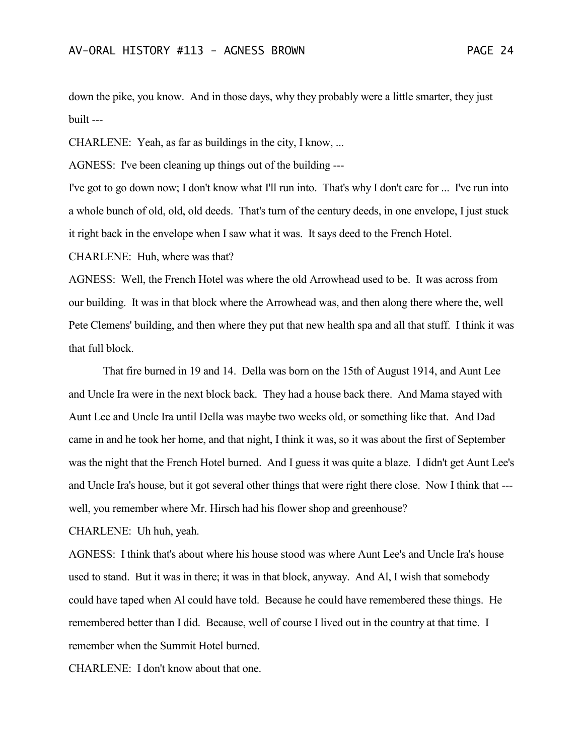down the pike, you know. And in those days, why they probably were a little smarter, they just built ---

CHARLENE: Yeah, as far as buildings in the city, I know, ...

AGNESS: I've been cleaning up things out of the building ---

I've got to go down now; I don't know what I'll run into. That's why I don't care for ... I've run into a whole bunch of old, old, old deeds. That's turn of the century deeds, in one envelope, I just stuck it right back in the envelope when I saw what it was. It says deed to the French Hotel.

CHARLENE: Huh, where was that?

AGNESS: Well, the French Hotel was where the old Arrowhead used to be. It was across from our building. It was in that block where the Arrowhead was, and then along there where the, well Pete Clemens' building, and then where they put that new health spa and all that stuff. I think it was that full block.

That fire burned in 19 and 14. Della was born on the 15th of August 1914, and Aunt Lee and Uncle Ira were in the next block back. They had a house back there. And Mama stayed with Aunt Lee and Uncle Ira until Della was maybe two weeks old, or something like that. And Dad came in and he took her home, and that night, I think it was, so it was about the first of September was the night that the French Hotel burned. And I guess it was quite a blaze. I didn't get Aunt Lee's and Uncle Ira's house, but it got several other things that were right there close. Now I think that -- well, you remember where Mr. Hirsch had his flower shop and greenhouse?

CHARLENE: Uh huh, yeah.

AGNESS: I think that's about where his house stood was where Aunt Lee's and Uncle Ira's house used to stand. But it was in there; it was in that block, anyway. And Al, I wish that somebody could have taped when Al could have told. Because he could have remembered these things. He remembered better than I did. Because, well of course I lived out in the country at that time. I remember when the Summit Hotel burned.

CHARLENE: I don't know about that one.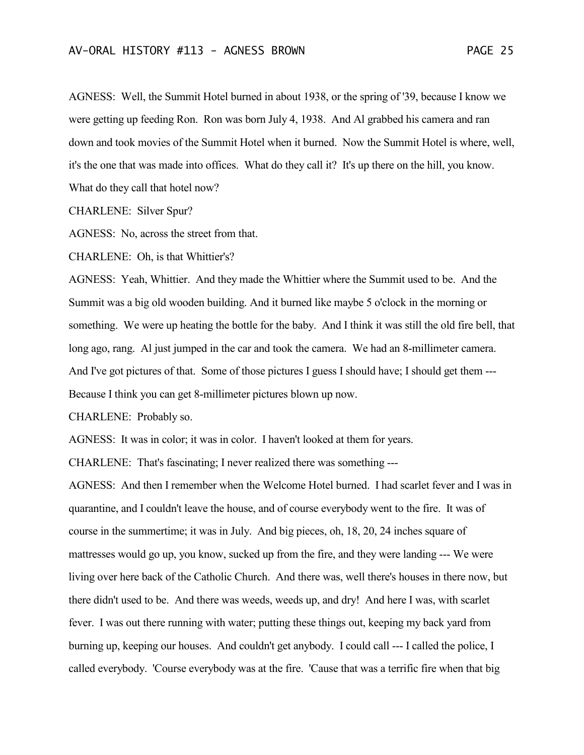AGNESS: Well, the Summit Hotel burned in about 1938, or the spring of '39, because I know we were getting up feeding Ron. Ron was born July 4, 1938. And Al grabbed his camera and ran down and took movies of the Summit Hotel when it burned. Now the Summit Hotel is where, well, it's the one that was made into offices. What do they call it? It's up there on the hill, you know. What do they call that hotel now?

CHARLENE: Silver Spur?

AGNESS: No, across the street from that.

CHARLENE: Oh, is that Whittier's?

AGNESS: Yeah, Whittier. And they made the Whittier where the Summit used to be. And the Summit was a big old wooden building. And it burned like maybe 5 o'clock in the morning or something. We were up heating the bottle for the baby. And I think it was still the old fire bell, that long ago, rang. Al just jumped in the car and took the camera. We had an 8-millimeter camera. And I've got pictures of that. Some of those pictures I guess I should have; I should get them --- Because I think you can get 8-millimeter pictures blown up now.

CHARLENE: Probably so.

AGNESS: It was in color; it was in color. I haven't looked at them for years.

CHARLENE: That's fascinating; I never realized there was something ---

AGNESS: And then I remember when the Welcome Hotel burned. I had scarlet fever and I was in quarantine, and I couldn't leave the house, and of course everybody went to the fire. It was of course in the summertime; it was in July. And big pieces, oh, 18, 20, 24 inches square of mattresses would go up, you know, sucked up from the fire, and they were landing --- We were living over here back of the Catholic Church. And there was, well there's houses in there now, but there didn't used to be. And there was weeds, weeds up, and dry! And here I was, with scarlet fever. I was out there running with water; putting these things out, keeping my back yard from burning up, keeping our houses. And couldn't get anybody. I could call --- I called the police, I called everybody. 'Course everybody was at the fire. 'Cause that was a terrific fire when that big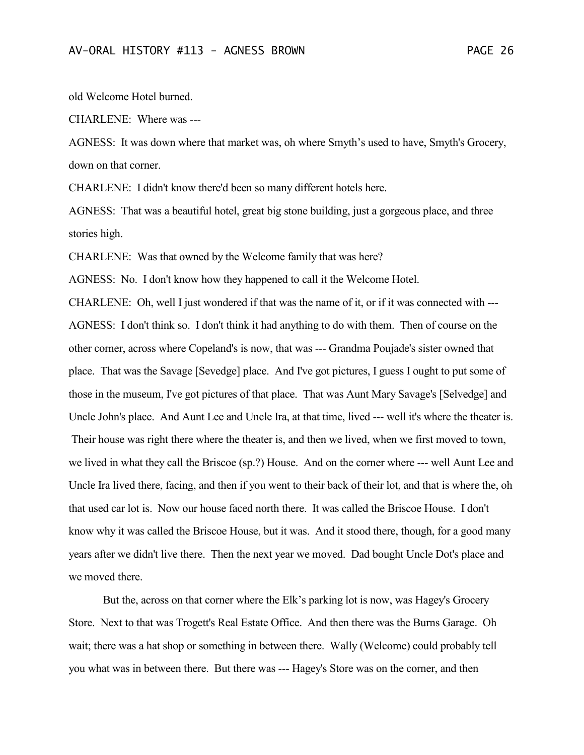old Welcome Hotel burned.

CHARLENE: Where was ---

AGNESS: It was down where that market was, oh where Smyth's used to have, Smyth's Grocery, down on that corner.

CHARLENE: I didn't know there'd been so many different hotels here.

AGNESS: That was a beautiful hotel, great big stone building, just a gorgeous place, and three stories high.

CHARLENE: Was that owned by the Welcome family that was here?

AGNESS: No. I don't know how they happened to call it the Welcome Hotel.

CHARLENE: Oh, well I just wondered if that was the name of it, or if it was connected with --- AGNESS: I don't think so. I don't think it had anything to do with them. Then of course on the other corner, across where Copeland's is now, that was --- Grandma Poujade's sister owned that place. That was the Savage [Sevedge] place. And I've got pictures, I guess I ought to put some of those in the museum, I've got pictures of that place. That was Aunt Mary Savage's [Selvedge] and Uncle John's place. And Aunt Lee and Uncle Ira, at that time, lived --- well it's where the theater is. Their house was right there where the theater is, and then we lived, when we first moved to town, we lived in what they call the Briscoe (sp.?) House. And on the corner where --- well Aunt Lee and Uncle Ira lived there, facing, and then if you went to their back of their lot, and that is where the, oh that used car lot is. Now our house faced north there. It was called the Briscoe House. I don't know why it was called the Briscoe House, but it was. And it stood there, though, for a good many years after we didn't live there. Then the next year we moved. Dad bought Uncle Dot's place and we moved there.

But the, across on that corner where the Elk's parking lot is now, was Hagey's Grocery Store. Next to that was Trogett's Real Estate Office. And then there was the Burns Garage. Oh wait; there was a hat shop or something in between there. Wally (Welcome) could probably tell you what was in between there. But there was --- Hagey's Store was on the corner, and then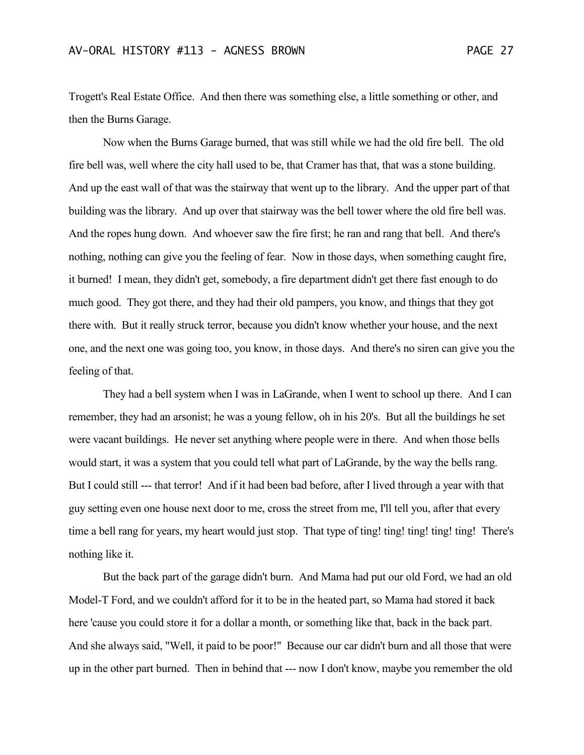Trogett's Real Estate Office. And then there was something else, a little something or other, and then the Burns Garage.

Now when the Burns Garage burned, that was still while we had the old fire bell. The old fire bell was, well where the city hall used to be, that Cramer has that, that was a stone building. And up the east wall of that was the stairway that went up to the library. And the upper part of that building was the library. And up over that stairway was the bell tower where the old fire bell was. And the ropes hung down. And whoever saw the fire first; he ran and rang that bell. And there's nothing, nothing can give you the feeling of fear. Now in those days, when something caught fire, it burned! I mean, they didn't get, somebody, a fire department didn't get there fast enough to do much good. They got there, and they had their old pampers, you know, and things that they got there with. But it really struck terror, because you didn't know whether your house, and the next one, and the next one was going too, you know, in those days. And there's no siren can give you the feeling of that.

They had a bell system when I was in LaGrande, when I went to school up there. And I can remember, they had an arsonist; he was a young fellow, oh in his 20's. But all the buildings he set were vacant buildings. He never set anything where people were in there. And when those bells would start, it was a system that you could tell what part of LaGrande, by the way the bells rang. But I could still --- that terror! And if it had been bad before, after I lived through a year with that guy setting even one house next door to me, cross the street from me, I'll tell you, after that every time a bell rang for years, my heart would just stop. That type of ting! ting! ting! ting! ting! There's nothing like it.

But the back part of the garage didn't burn. And Mama had put our old Ford, we had an old Model-T Ford, and we couldn't afford for it to be in the heated part, so Mama had stored it back here 'cause you could store it for a dollar a month, or something like that, back in the back part. And she always said, "Well, it paid to be poor!" Because our car didn't burn and all those that were up in the other part burned. Then in behind that --- now I don't know, maybe you remember the old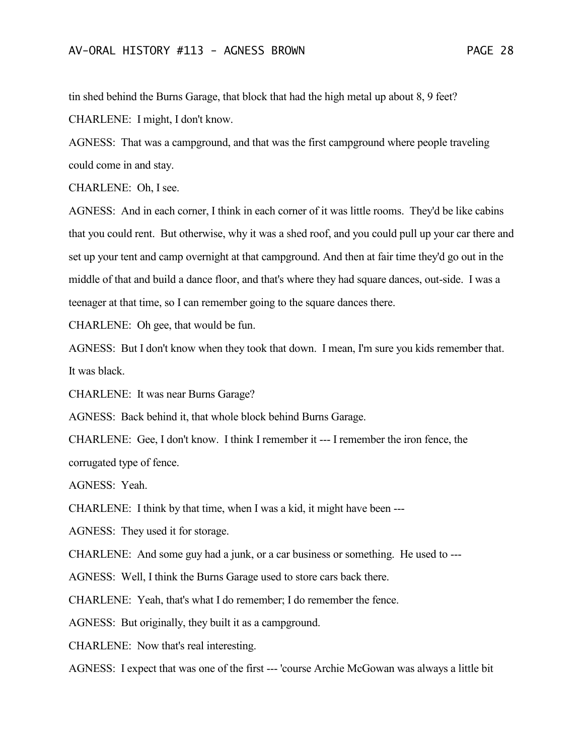tin shed behind the Burns Garage, that block that had the high metal up about 8, 9 feet? CHARLENE: I might, I don't know.

AGNESS: That was a campground, and that was the first campground where people traveling could come in and stay.

CHARLENE: Oh, I see.

AGNESS: And in each corner, I think in each corner of it was little rooms. They'd be like cabins that you could rent. But otherwise, why it was a shed roof, and you could pull up your car there and set up your tent and camp overnight at that campground. And then at fair time they'd go out in the middle of that and build a dance floor, and that's where they had square dances, out-side. I was a teenager at that time, so I can remember going to the square dances there.

CHARLENE: Oh gee, that would be fun.

AGNESS: But I don't know when they took that down. I mean, I'm sure you kids remember that. It was black.

CHARLENE: It was near Burns Garage?

AGNESS: Back behind it, that whole block behind Burns Garage.

CHARLENE: Gee, I don't know. I think I remember it --- I remember the iron fence, the corrugated type of fence.

AGNESS: Yeah.

CHARLENE: I think by that time, when I was a kid, it might have been ---

AGNESS: They used it for storage.

CHARLENE: And some guy had a junk, or a car business or something. He used to ---

AGNESS: Well, I think the Burns Garage used to store cars back there.

CHARLENE: Yeah, that's what I do remember; I do remember the fence.

AGNESS: But originally, they built it as a campground.

CHARLENE: Now that's real interesting.

AGNESS: I expect that was one of the first --- 'course Archie McGowan was always a little bit